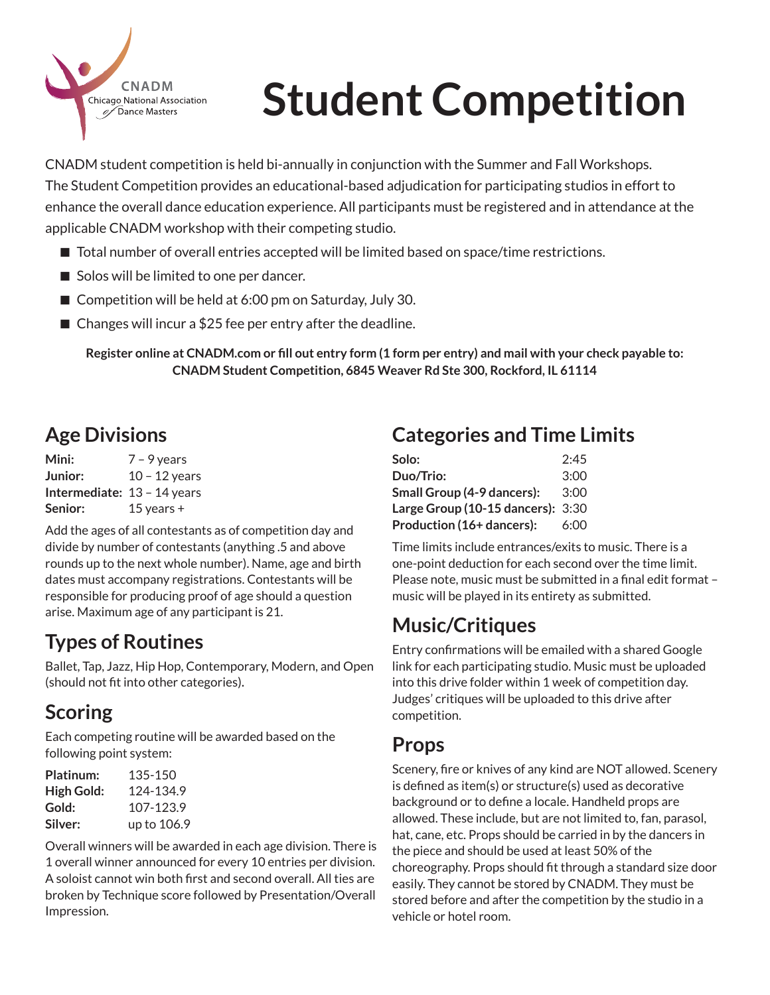

# **Student Competition**

CNADM student competition is held bi-annually in conjunction with the Summer and Fall Workshops. The Student Competition provides an educational-based adjudication for participating studios in effort to enhance the overall dance education experience. All participants must be registered and in attendance at the applicable CNADM workshop with their competing studio.

- $\blacksquare$  Total number of overall entries accepted will be limited based on space/time restrictions.
- $\blacksquare$  Solos will be limited to one per dancer.
- $\blacksquare$  Competition will be held at 6:00 pm on Saturday, July 30.
- $\blacksquare$  Changes will incur a \$25 fee per entry after the deadline.

**Register online at CNADM.com or fill out entry form (1 form per entry) and mail with your check payable to: CNADM Student Competition, 6845 Weaver Rd Ste 300, Rockford, IL 61114**

### **Age Divisions**

**Mini:** 7 – 9 years **Junior:** 10 – 12 years **Intermediate:** 13 – 14 years **Senior:** 15 years +

Add the ages of all contestants as of competition day and divide by number of contestants (anything .5 and above rounds up to the next whole number). Name, age and birth dates must accompany registrations. Contestants will be responsible for producing proof of age should a question arise. Maximum age of any participant is 21.

#### **Types of Routines**

Ballet, Tap, Jazz, Hip Hop, Contemporary, Modern, and Open (should not fit into other categories).

#### **Scoring**

Each competing routine will be awarded based on the following point system:

| Platinum:  | 135-150     |
|------------|-------------|
| High Gold: | 124-134.9   |
| Gold:      | 107-123.9   |
| Silver:    | up to 106.9 |

Overall winners will be awarded in each age division. There is 1 overall winner announced for every 10 entries per division. A soloist cannot win both first and second overall. All ties are broken by Technique score followed by Presentation/Overall Impression.

#### **Categories and Time Limits**

| Solo:                                 | 2:45 |
|---------------------------------------|------|
| Duo/Trio:                             | 3:00 |
| Small Group (4-9 dancers):            | 3:00 |
| Large Group $(10-15$ dancers): $3:30$ |      |
| Production (16+ dancers):             | 6:00 |

Time limits include entrances/exits to music. There is a one-point deduction for each second over the time limit. Please note, music must be submitted in a final edit format – music will be played in its entirety as submitted.

#### **Music/Critiques**

Entry confirmations will be emailed with a shared Google link for each participating studio. Music must be uploaded into this drive folder within 1 week of competition day. Judges' critiques will be uploaded to this drive after competition.

#### **Props**

Scenery, fire or knives of any kind are NOT allowed. Scenery is defined as item(s) or structure(s) used as decorative background or to define a locale. Handheld props are allowed. These include, but are not limited to, fan, parasol, hat, cane, etc. Props should be carried in by the dancers in the piece and should be used at least 50% of the choreography. Props should fit through a standard size door easily. They cannot be stored by CNADM. They must be stored before and after the competition by the studio in a vehicle or hotel room.